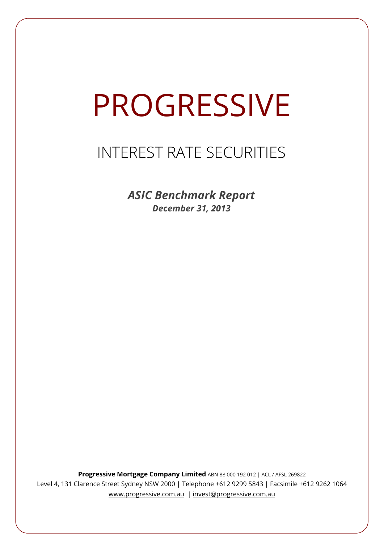# PROGRESSIVE

# INTEREST RATE SECURITIES

*ASIC Benchmark Report December 31, 2013*

**Progressive Mortgage Company Limited** ABN 88 000 192 012 | ACL / AFSL 269822 Level 4, 131 Clarence Street Sydney NSW 2000 | Telephone +612 9299 5843 | Facsimile +612 9262 1064 www.progressive.com.au | invest@progressive.com.au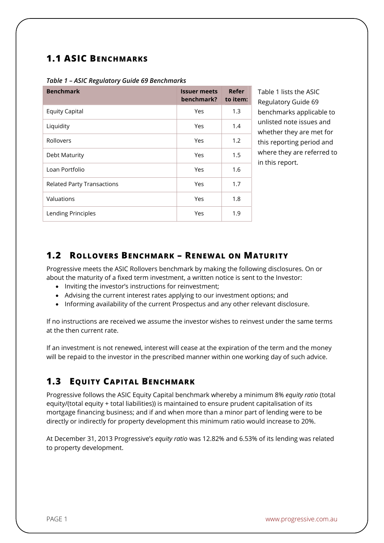### **1.1 ASIC BENCHMARKS**

| <b>Benchmark</b>                  | <b>Issuer meets</b><br>benchmark? | Refer<br>to item: |
|-----------------------------------|-----------------------------------|-------------------|
| <b>Equity Capital</b>             | Yes                               | 1.3               |
| Liquidity                         | Yes                               | 1.4               |
| Rollovers                         | Yes                               | 1.2               |
| Debt Maturity                     | Yes                               | 1.5               |
| Loan Portfolio                    | Yes                               | 1.6               |
| <b>Related Party Transactions</b> | Yes                               | 1.7               |
| Valuations                        | Yes                               | 1.8               |
| Lending Principles                | Yes                               | 1.9               |

#### *Table 1 – ASIC Regulatory Guide 69 Benchmarks*

Table 1 lists the ASIC Regulatory Guide 69 benchmarks applicable to unlisted note issues and whether they are met for this reporting period and where they are referred to in this report.

#### **1.2 ROLLOVERS BENCHMARK – RENEWAL ON MATURITY**

Progressive meets the ASIC Rollovers benchmark by making the following disclosures. On or about the maturity of a fixed term investment, a written notice is sent to the Investor:

- Inviting the investor's instructions for reinvestment:
- Advising the current interest rates applying to our investment options; and
- Informing availability of the current Prospectus and any other relevant disclosure.

If no instructions are received we assume the investor wishes to reinvest under the same terms at the then current rate.

If an investment is not renewed, interest will cease at the expiration of the term and the money will be repaid to the investor in the prescribed manner within one working day of such advice.

## **1.3 EQUITY CAPITAL BENCHMARK**

Progressive follows the ASIC Equity Capital benchmark whereby a minimum 8% *equity ratio* (total equity/(total equity + total liabilities)) is maintained to ensure prudent capitalisation of its mortgage financing business; and if and when more than a minor part of lending were to be directly or indirectly for property development this minimum ratio would increase to 20%.

At December 31, 2013 Progressive's *equity ratio* was 12.82% and 6.53% of its lending was related to property development.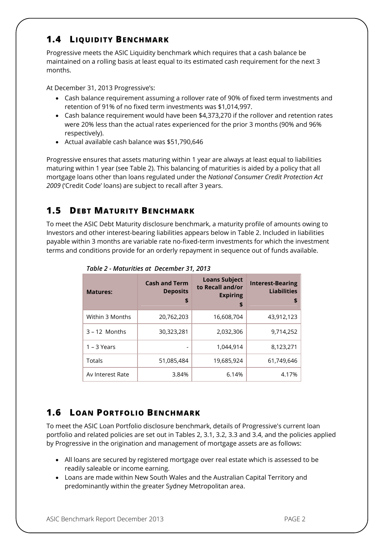#### **1.4 LIQUIDITY BENCHMARK**

Progressive meets the ASIC Liquidity benchmark which requires that a cash balance be maintained on a rolling basis at least equal to its estimated cash requirement for the next 3 months.

At December 31, 2013 Progressive's:

- Cash balance requirement assuming a rollover rate of 90% of fixed term investments and retention of 91% of no fixed term investments was \$1,014,997.
- Cash balance requirement would have been \$4,373,270 if the rollover and retention rates were 20% less than the actual rates experienced for the prior 3 months (90% and 96% respectively).
- Actual available cash balance was \$51,790,646

Progressive ensures that assets maturing within 1 year are always at least equal to liabilities maturing within 1 year (see Table 2). This balancing of maturities is aided by a policy that all mortgage loans other than loans regulated under the *National Consumer Credit Protection Act 2009* ('Credit Code' loans) are subject to recall after 3 years.

#### **1.5 DEBT MATURITY BENCHMARK**

To meet the ASIC Debt Maturity disclosure benchmark, a maturity profile of amounts owing to Investors and other interest-bearing liabilities appears below in Table 2. Included in liabilities payable within 3 months are variable rate no-fixed-term investments for which the investment terms and conditions provide for an orderly repayment in sequence out of funds available.

| <b>Matures:</b>  | <b>Cash and Term</b><br><b>Deposits</b><br>\$ | <b>Loans Subject</b><br>to Recall and/or<br><b>Expiring</b><br>\$ | <b>Interest-Bearing</b><br><b>Liabilities</b><br>S |
|------------------|-----------------------------------------------|-------------------------------------------------------------------|----------------------------------------------------|
| Within 3 Months  | 20,762,203                                    | 16,608,704                                                        | 43,912,123                                         |
| $3 - 12$ Months  | 30,323,281                                    | 2,032,306                                                         | 9,714,252                                          |
| $1 - 3$ Years    |                                               | 1.044.914                                                         | 8,123,271                                          |
| Totals           | 51,085,484                                    | 19,685,924                                                        | 61,749,646                                         |
| Av Interest Rate | 3.84%                                         | 6.14%                                                             | 4.17%                                              |

*Table 2 - Maturities at December 31, 2013*

### **1.6 LOAN PORTFOLIO BENCHMARK**

To meet the ASIC Loan Portfolio disclosure benchmark, details of Progressive's current loan portfolio and related policies are set out in Tables 2, 3.1, 3.2, 3.3 and 3.4, and the policies applied by Progressive in the origination and management of mortgage assets are as follows:

- All loans are secured by registered mortgage over real estate which is assessed to be readily saleable or income earning.
- Loans are made within New South Wales and the Australian Capital Territory and predominantly within the greater Sydney Metropolitan area.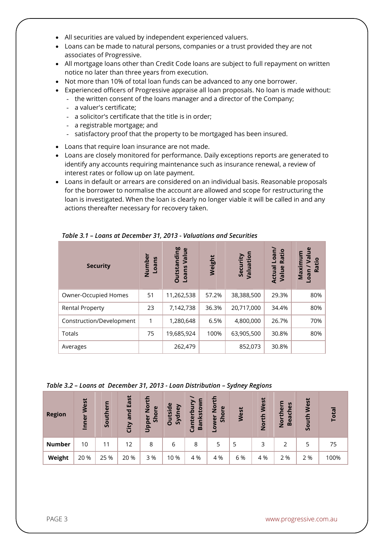- All securities are valued by independent experienced valuers.
- Loans can be made to natural persons, companies or a trust provided they are not associates of Progressive.
- All mortgage loans other than Credit Code loans are subject to full repayment on written notice no later than three years from execution.
- Not more than 10% of total loan funds can be advanced to any one borrower.
- Experienced officers of Progressive appraise all loan proposals. No loan is made without:
	- the written consent of the loans manager and a director of the Company;
		- a valuer's certificate;
		- a solicitor's certificate that the title is in order;
		- a registrable mortgage; and
		- satisfactory proof that the property to be mortgaged has been insured.
- Loans that require loan insurance are not made.
- Loans are closely monitored for performance. Daily exceptions reports are generated to identify any accounts requiring maintenance such as insurance renewal, a review of interest rates or follow up on late payment.
- Loans in default or arrears are considered on an individual basis. Reasonable proposals for the borrower to normalise the account are allowed and scope for restructuring the loan is investigated. When the loan is clearly no longer viable it will be called in and any actions thereafter necessary for recovery taken.

| <b>Security</b>          | Number<br>Loans | <b>Outstanding</b><br>Value<br>Loans | Weight | Security<br>Valuation | Loan/<br>Ratio<br><b>Actual</b><br>Value | $\frac{6}{1}$<br>Maximum<br>S<br>Va<br>Ratio<br>oan |
|--------------------------|-----------------|--------------------------------------|--------|-----------------------|------------------------------------------|-----------------------------------------------------|
| Owner-Occupied Homes     | 51              | 11,262,538                           | 57.2%  | 38,388,500            | 29.3%                                    | 80%                                                 |
| <b>Rental Property</b>   | 23              | 7,142,738                            | 36.3%  | 20,717,000            | 34.4%                                    | 80%                                                 |
| Construction/Development | 1               | 1,280,648                            | 6.5%   | 4,800,000             | 26.7%                                    | 70%                                                 |
| <b>Totals</b>            | 75              | 19,685,924                           | 100%   | 63,905,500            | 30.8%                                    | 80%                                                 |
| Averages                 |                 | 262,479                              |        | 852,073               | 30.8%                                    |                                                     |

*Table 3.1 – Loans at December 31, 2013 - Valuations and Securities*

*Table 3.2 – Loans at December 31, 2013 - Loan Distribution – Sydney Regions* 

| <b>Region</b> | West<br>Inner | Southern | East<br>and<br>City | 5<br>$\overline{O}$<br>Shore<br>Ž<br>Upper | <b>Itside</b><br>Sydney<br>$\Omega$ | nterbur<br>nksto<br>Ba<br>ී | 듭<br>$\overline{2}$<br>ore<br>$\tilde{\overline{5}}$<br>ğ<br>۰ | West | North West | hern<br>S<br>e<br>ပ<br><b>North</b><br>Bea | West<br>uth<br><u>g</u> | Total |
|---------------|---------------|----------|---------------------|--------------------------------------------|-------------------------------------|-----------------------------|----------------------------------------------------------------|------|------------|--------------------------------------------|-------------------------|-------|
| <b>Number</b> | 10            | 11       | 12                  | 8                                          | 6                                   | 8                           | 5                                                              | 5    | 3          |                                            |                         | 75    |
| Weight        | 20 %          | 25 %     | 20 %                | 3 %                                        | 10 %                                | 4 %                         | 4 %                                                            | 6 %  | 4 %        | 2 %                                        | 2 %                     | 100%  |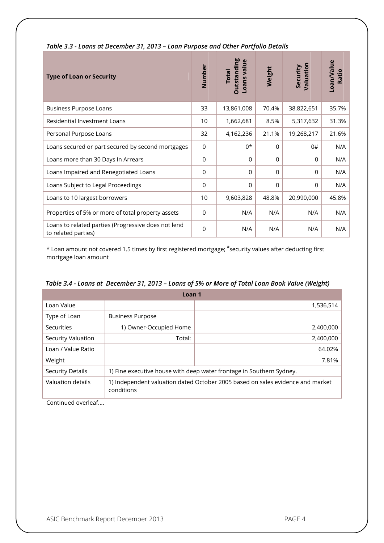| <b>Type of Loan or Security</b>                                            | Number          | <b>Outstanding</b><br>Loans value<br><b>Total</b> | Weight      | Valuation<br>Security | Loan/Value<br>Ratio |
|----------------------------------------------------------------------------|-----------------|---------------------------------------------------|-------------|-----------------------|---------------------|
| <b>Business Purpose Loans</b>                                              | 33              | 13,861,008                                        | 70.4%       | 38,822,651            | 35.7%               |
| Residential Investment Loans                                               | 10 <sup>1</sup> | 1,662,681                                         | 8.5%        | 5,317,632             | 31.3%               |
| Personal Purpose Loans                                                     | 32              | 4,162,236                                         | 21.1%       | 19,268,217            | 21.6%               |
| Loans secured or part secured by second mortgages                          | $\Omega$        | $0*$                                              | $\Omega$    | 0#                    | N/A                 |
| Loans more than 30 Days In Arrears                                         | 0               | 0                                                 | $\mathbf 0$ | $\Omega$              | N/A                 |
| Loans Impaired and Renegotiated Loans                                      | $\mathbf 0$     | 0                                                 | $\Omega$    | $\Omega$              | N/A                 |
| Loans Subject to Legal Proceedings                                         | $\mathbf 0$     | 0                                                 | $\Omega$    | $\Omega$              | N/A                 |
| Loans to 10 largest borrowers                                              | 10              | 9,603,828                                         | 48.8%       | 20,990,000            | 45.8%               |
| Properties of 5% or more of total property assets                          | $\overline{0}$  | N/A                                               | N/A         | N/A                   | N/A                 |
| Loans to related parties (Progressive does not lend<br>to related parties) | $\overline{0}$  | N/A                                               | N/A         | N/A                   | N/A                 |

#### *Table 3.3 - Loans at December 31, 2013 – Loan Purpose and Other Portfolio Details*

\* Loan amount not covered 1.5 times by first registered mortgage; # security values after deducting first mortgage loan amount

|  |  |  | Table 3.4 - Loans at  December 31, 2013 – Loans of 5% or More of Total Loan Book Value (Weight) |
|--|--|--|-------------------------------------------------------------------------------------------------|
|--|--|--|-------------------------------------------------------------------------------------------------|

| Loan <sub>1</sub>       |                                                                                              |           |  |  |  |
|-------------------------|----------------------------------------------------------------------------------------------|-----------|--|--|--|
| Loan Value              |                                                                                              | 1,536,514 |  |  |  |
| Type of Loan            | <b>Business Purpose</b>                                                                      |           |  |  |  |
| Securities              | 1) Owner-Occupied Home                                                                       | 2,400,000 |  |  |  |
| Security Valuation      | Total:                                                                                       | 2,400,000 |  |  |  |
| Loan / Value Ratio      |                                                                                              | 64.02%    |  |  |  |
| Weight                  |                                                                                              | 7.81%     |  |  |  |
| <b>Security Details</b> | 1) Fine executive house with deep water frontage in Southern Sydney.                         |           |  |  |  |
| Valuation details       | 1) Independent valuation dated October 2005 based on sales evidence and market<br>conditions |           |  |  |  |

Continued overleaf....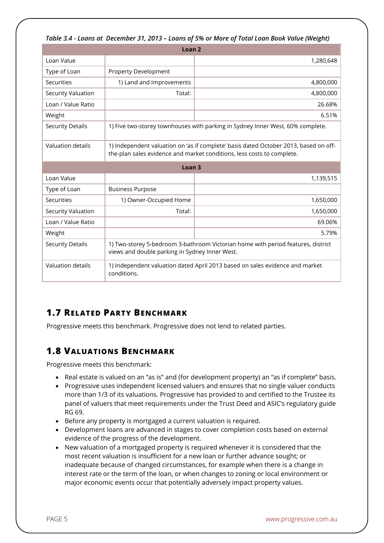| Table 3.4 - Loans at  December 31, 2013 – Loans of 5% or More of Total Loan Book Value (Weight) |  |  |  |  |  |
|-------------------------------------------------------------------------------------------------|--|--|--|--|--|
|-------------------------------------------------------------------------------------------------|--|--|--|--|--|

| Loan <sub>2</sub>         |                                                                                                                                                                |           |  |  |  |
|---------------------------|----------------------------------------------------------------------------------------------------------------------------------------------------------------|-----------|--|--|--|
| Loan Value                |                                                                                                                                                                | 1,280,648 |  |  |  |
| Type of Loan              | <b>Property Development</b>                                                                                                                                    |           |  |  |  |
| Securities                | 1) Land and Improvements                                                                                                                                       | 4,800,000 |  |  |  |
| <b>Security Valuation</b> | Total:                                                                                                                                                         | 4,800,000 |  |  |  |
| Loan / Value Ratio        |                                                                                                                                                                | 26.68%    |  |  |  |
| Weight                    |                                                                                                                                                                | 6.51%     |  |  |  |
| <b>Security Details</b>   | 1) Five two-storey townhouses with parking in Sydney Inner West, 60% complete.                                                                                 |           |  |  |  |
| Valuation details         | 1) Independent valuation on 'as if complete' basis dated October 2013, based on off-<br>the-plan sales evidence and market conditions, less costs to complete. |           |  |  |  |
| Loan <sub>3</sub>         |                                                                                                                                                                |           |  |  |  |
| Loan Value                |                                                                                                                                                                | 1,139,515 |  |  |  |
| Type of Loan              | <b>Business Purpose</b>                                                                                                                                        |           |  |  |  |
| Securities                | 1) Owner-Occupied Home                                                                                                                                         | 1,650,000 |  |  |  |
| <b>Security Valuation</b> | Total:                                                                                                                                                         | 1,650,000 |  |  |  |
| Loan / Value Ratio        |                                                                                                                                                                | 69.06%    |  |  |  |
| Weight                    |                                                                                                                                                                | 5.79%     |  |  |  |
| <b>Security Details</b>   | 1) Two-storey 5-bedroom 3-bathroom Victorian home with period features, district<br>views and double parking in Sydney Inner West.                             |           |  |  |  |
| Valuation details         | 1) Independent valuation dated April 2013 based on sales evidence and market<br>conditions.                                                                    |           |  |  |  |

### **1.7 RELATED PARTY BENCHMARK**

Progressive meets this benchmark. Progressive does not lend to related parties.

#### **1.8 VALUATIONS BENCHMARK**

Progressive meets this benchmark:

- Real estate is valued on an "as is" and (for development property) an "as if complete" basis.
- Progressive uses independent licensed valuers and ensures that no single valuer conducts more than 1/3 of its valuations. Progressive has provided to and certified to the Trustee its panel of valuers that meet requirements under the Trust Deed and ASIC's regulatory guide RG 69.
- Before any property is mortgaged a current valuation is required.
- Development loans are advanced in stages to cover completion costs based on external evidence of the progress of the development.
- New valuation of a mortgaged property is required whenever it is considered that the most recent valuation is insufficient for a new loan or further advance sought; or inadequate because of changed circumstances, for example when there is a change in interest rate or the term of the loan, or when changes to zoning or local environment or major economic events occur that potentially adversely impact property values.